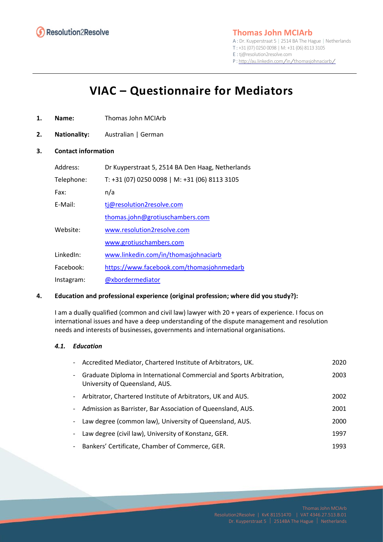

# **Thomas John MCIArb**

A : Dr. Kuyperstraat 5 | 2514 BA The Hague | Netherlands T : +31 (07) 0250 0098 | M: +31 (06) 8113 3105 E : tj@resolution2resolve.com

<sup>P</sup> : http://au.linkedin.com/in/thomasjohnaciarb/

# **VIAC – Questionnaire for Mediators**

- **1. Name:** Thomas John MCIArb
- **2. Nationality:** Australian | German

#### **3. Contact information**

| Address:   | Dr Kuyperstraat 5, 2514 BA Den Haag, Netherlands |
|------------|--------------------------------------------------|
| Telephone: | T: +31 (07) 0250 0098   M: +31 (06) 8113 3105    |
| Fax:       | n/a                                              |
| E-Mail:    | tj@resolution2resolve.com                        |
|            | thomas.john@grotiuschambers.com                  |
| Website:   | www.resolution2resolve.com                       |
|            | www.grotiuschambers.com                          |
| LinkedIn:  | www.linkedin.com/in/thomasjohnaciarb             |
| Facebook:  | https://www.facebook.com/thomasjohnmedarb        |
| Instagram: | @xbordermediator                                 |

## **4. Education and professional experience (original profession; where did you study?):**

I am a dually qualified (common and civil law) lawyer with 20 + years of experience. I focus on international issues and have a deep understanding of the dispute management and resolution needs and interests of businesses, governments and international organisations.

#### *4.1. Education*

| - Accredited Mediator, Chartered Institute of Arbitrators, UK.                                         | 2020 |
|--------------------------------------------------------------------------------------------------------|------|
| Graduate Diploma in International Commercial and Sports Arbitration,<br>University of Queensland, AUS. | 2003 |
| Arbitrator, Chartered Institute of Arbitrators, UK and AUS.                                            | 2002 |
| Admission as Barrister, Bar Association of Queensland, AUS.                                            | 2001 |
| Law degree (common law), University of Queensland, AUS.                                                | 2000 |
| Law degree (civil law), University of Konstanz, GER.                                                   | 1997 |
| Bankers' Certificate, Chamber of Commerce, GER.                                                        | 1993 |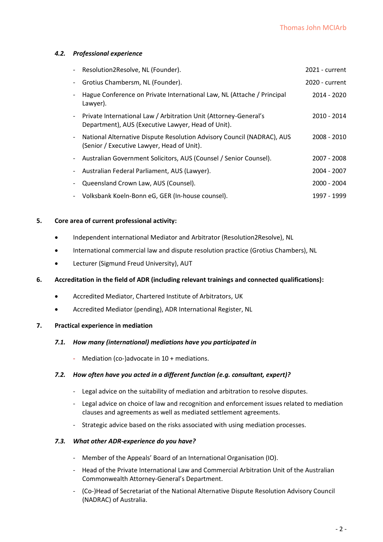#### *4.2. Professional experience*

|                              | Resolution2Resolve, NL (Founder).                                                                                      | 2021 - current |
|------------------------------|------------------------------------------------------------------------------------------------------------------------|----------------|
| -                            | Grotius Chambersm, NL (Founder).                                                                                       | 2020 - current |
|                              | Hague Conference on Private International Law, NL (Attache / Principal<br>Lawyer).                                     | 2014 - 2020    |
| $\overline{\phantom{a}}$     | Private International Law / Arbitration Unit (Attorney-General's<br>Department), AUS (Executive Lawyer, Head of Unit). | 2010 - 2014    |
| $\qquad \qquad \blacksquare$ | National Alternative Dispute Resolution Advisory Council (NADRAC), AUS<br>(Senior / Executive Lawyer, Head of Unit).   | 2008 - 2010    |
| -                            | Australian Government Solicitors, AUS (Counsel / Senior Counsel).                                                      | 2007 - 2008    |
| -                            | Australian Federal Parliament, AUS (Lawyer).                                                                           | 2004 - 2007    |
|                              | Queensland Crown Law, AUS (Counsel).                                                                                   | 2000 - 2004    |
| $\overline{\phantom{a}}$     | Volksbank Koeln-Bonn eG, GER (In-house counsel).                                                                       | 1997 - 1999    |

#### **5. Core area of current professional activity:**

- Independent international Mediator and Arbitrator (Resolution2Resolve), NL
- International commercial law and dispute resolution practice (Grotius Chambers), NL
- Lecturer (Sigmund Freud University), AUT

#### **6. Accreditation in the field of ADR (including relevant trainings and connected qualifications):**

- Accredited Mediator, Chartered Institute of Arbitrators, UK
- Accredited Mediator (pending), ADR International Register, NL

#### **7. Practical experience in mediation**

#### *7.1. How many (international) mediations have you participated in*

- Mediation (co-)advocate in 10 + mediations.

#### *7.2. How often have you acted in a different function (e.g. consultant, expert)?*

- Legal advice on the suitability of mediation and arbitration to resolve disputes.
- Legal advice on choice of law and recognition and enforcement issues related to mediation clauses and agreements as well as mediated settlement agreements.
- Strategic advice based on the risks associated with using mediation processes.

#### *7.3. What other ADR-experience do you have?*

- Member of the Appeals' Board of an International Organisation (IO).
- Head of the Private International Law and Commercial Arbitration Unit of the Australian Commonwealth Attorney-General's Department.
- (Co-)Head of Secretariat of the National Alternative Dispute Resolution Advisory Council (NADRAC) of Australia.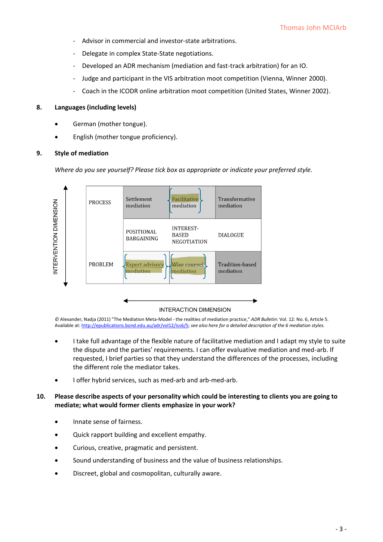- Advisor in commercial and investor-state arbitrations.
- Delegate in complex State-State negotiations.
- Developed an ADR mechanism (mediation and fast-track arbitration) for an IO.
- Judge and participant in the VIS arbitration moot competition (Vienna, Winner 2000).
- Coach in the ICODR online arbitration moot competition (United States, Winner 2002).

#### **8. Languages (including levels)**

- German (mother tongue).
- English (mother tongue proficiency).

#### **9. Style of mediation**

*Where do you see yourself? Please tick box as appropriate or indicate your preferred style.*



*©* Alexander, Nadja (2011) "The Mediation Meta-Model - the realities of mediation practice," *ADR Bulletin*: Vol. 12: No. 6, Article 5. Available at: http://epublications.bond.edu.au/adr/vol12/iss6/5; *see also here for a detailed description of the 6 mediation styles.*

- I take full advantage of the flexible nature of facilitative mediation and I adapt my style to suite the dispute and the parties' requirements. I can offer evaluative mediation and med-arb. If requested, I brief parties so that they understand the differences of the processes, including the different role the mediator takes.
- I offer hybrid services, such as med-arb and arb-med-arb.

#### **10. Please describe aspects of your personality which could be interesting to clients you are going to mediate; what would former clients emphasize in your work?**

- Innate sense of fairness.
- Quick rapport building and excellent empathy.
- Curious, creative, pragmatic and persistent.
- Sound understanding of business and the value of business relationships.
- Discreet, global and cosmopolitan, culturally aware.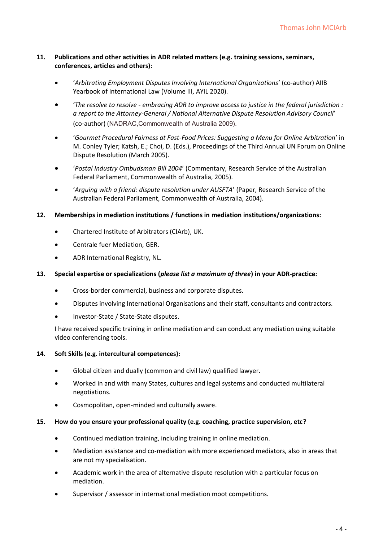#### **11. Publications and other activities in ADR related matters (e.g. training sessions, seminars, conferences, articles and others):**

- '*Arbitrating Employment Disputes Involving International Organizations*' (co-author) AIIB Yearbook of International Law (Volume III, AYIL 2020).
- '*The resolve to resolve - embracing ADR to improve access to justice in the federal jurisdiction : a report to the Attorney-General / National Alternative Dispute Resolution Advisory Council*' (co-author) (NADRAC,Commonwealth of Australia 2009).
- '*Gourmet Procedural Fairness at Fast-Food Prices: Suggesting a Menu for Online Arbitration*' in M. Conley Tyler; Katsh, E.; Choi, D. (Eds.), Proceedings of the Third Annual UN Forum on Online Dispute Resolution (March 2005).
- '*Postal Industry Ombudsman Bill 2004*' (Commentary, Research Service of the Australian Federal Parliament, Commonwealth of Australia, 2005).
- '*Arguing with a friend: dispute resolution under AUSFTA*' (Paper, Research Service of the Australian Federal Parliament, Commonwealth of Australia, 2004).

#### **12. Memberships in mediation institutions / functions in mediation institutions/organizations:**

- Chartered Institute of Arbitrators (CIArb), UK.
- Centrale fuer Mediation, GER.
- ADR International Registry, NL.

## **13. Special expertise or specializations (***please list a maximum of three***) in your ADR-practice:**

- Cross-border commercial, business and corporate disputes.
- Disputes involving International Organisations and their staff, consultants and contractors.
- Investor-State / State-State disputes.

I have received specific training in online mediation and can conduct any mediation using suitable video conferencing tools.

## **14. Soft Skills (e.g. intercultural competences):**

- Global citizen and dually (common and civil law) qualified lawyer.
- Worked in and with many States, cultures and legal systems and conducted multilateral negotiations.
- Cosmopolitan, open-minded and culturally aware.

#### **15. How do you ensure your professional quality (e.g. coaching, practice supervision, etc?**

- Continued mediation training, including training in online mediation.
- Mediation assistance and co-mediation with more experienced mediators, also in areas that are not my specialisation.
- Academic work in the area of alternative dispute resolution with a particular focus on mediation.
- Supervisor / assessor in international mediation moot competitions.